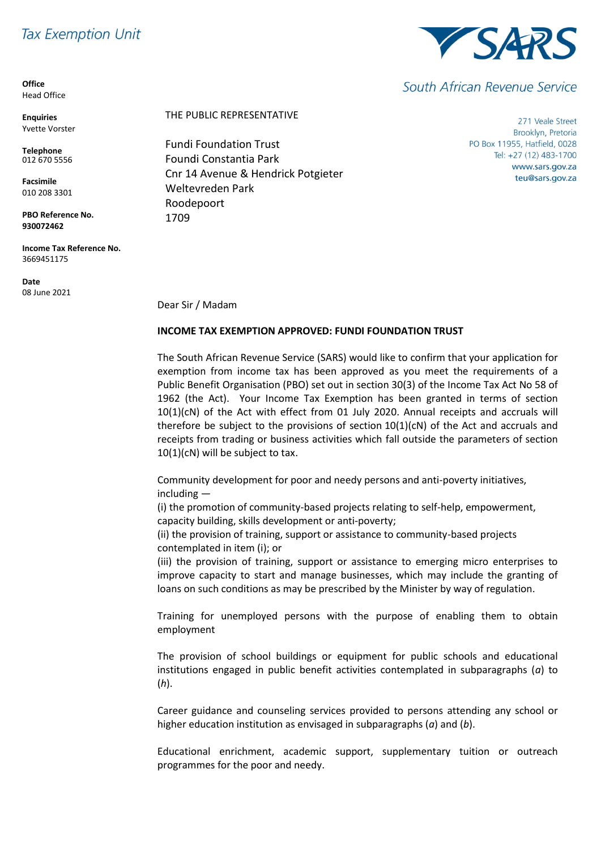## **Tax Exemption Unit**

**Office** Head Office

**Enquiries** Yvette Vorster

**Telephone** 012 670 5556

**Facsimile** 010 208 3301

**PBO Reference No. 930072462**

**Income Tax Reference No.** 3669451175

**Date** 08 June 2021



Fundi Foundation Trust Foundi Constantia Park Cnr 14 Avenue & Hendrick Potgieter Weltevreden Park Roodepoort 1709

271 Veale Street Brooklyn, Pretoria PO Box 11955, Hatfield, 0028 Tel: +27 (12) 483-1700 www.sars.gov.za teu@sars.gov.za

Dear Sir / Madam

## **INCOME TAX EXEMPTION APPROVED: FUNDI FOUNDATION TRUST**

The South African Revenue Service (SARS) would like to confirm that your application for exemption from income tax has been approved as you meet the requirements of a Public Benefit Organisation (PBO) set out in section 30(3) of the Income Tax Act No 58 of 1962 (the Act). Your Income Tax Exemption has been granted in terms of section 10(1)(cN) of the Act with effect from 01 July 2020. Annual receipts and accruals will therefore be subject to the provisions of section  $10(1)(cN)$  of the Act and accruals and receipts from trading or business activities which fall outside the parameters of section 10(1)(cN) will be subject to tax.

Community development for poor and needy persons and anti-poverty initiatives, including —

(i) the promotion of community-based projects relating to self-help, empowerment, capacity building, skills development or anti-poverty;

(ii) the provision of training, support or assistance to community-based projects contemplated in item (i); or

(iii) the provision of training, support or assistance to emerging micro enterprises to improve capacity to start and manage businesses, which may include the granting of loans on such conditions as may be prescribed by the Minister by way of regulation.

Training for unemployed persons with the purpose of enabling them to obtain employment

The provision of school buildings or equipment for public schools and educational institutions engaged in public benefit activities contemplated in subparagraphs (*a*) to (*h*).

Career guidance and counseling services provided to persons attending any school or higher education institution as envisaged in subparagraphs (*a*) and (*b*).

Educational enrichment, academic support, supplementary tuition or outreach programmes for the poor and needy.



South African Revenue Service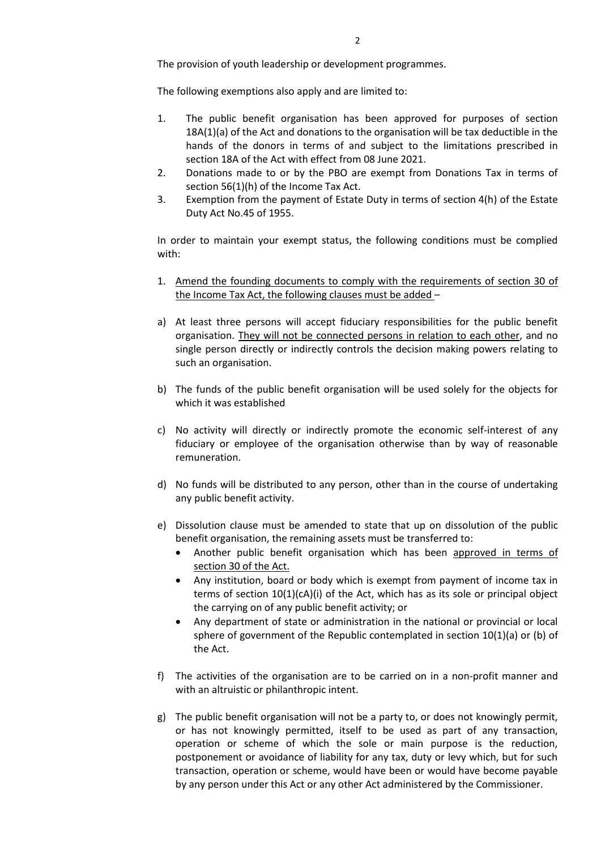The provision of youth leadership or development programmes.

The following exemptions also apply and are limited to:

- 1. The public benefit organisation has been approved for purposes of section 18A(1)(a) of the Act and donations to the organisation will be tax deductible in the hands of the donors in terms of and subject to the limitations prescribed in section 18A of the Act with effect from 08 June 2021.
- 2. Donations made to or by the PBO are exempt from Donations Tax in terms of section 56(1)(h) of the Income Tax Act.
- 3. Exemption from the payment of Estate Duty in terms of section 4(h) of the Estate Duty Act No.45 of 1955.

In order to maintain your exempt status, the following conditions must be complied with:

- 1. Amend the founding documents to comply with the requirements of section 30 of the Income Tax Act, the following clauses must be added –
- a) At least three persons will accept fiduciary responsibilities for the public benefit organisation. They will not be connected persons in relation to each other, and no single person directly or indirectly controls the decision making powers relating to such an organisation.
- b) The funds of the public benefit organisation will be used solely for the objects for which it was established
- c) No activity will directly or indirectly promote the economic self-interest of any fiduciary or employee of the organisation otherwise than by way of reasonable remuneration.
- d) No funds will be distributed to any person, other than in the course of undertaking any public benefit activity.
- e) Dissolution clause must be amended to state that up on dissolution of the public benefit organisation, the remaining assets must be transferred to:
	- Another public benefit organisation which has been approved in terms of section 30 of the Act.
	- Any institution, board or body which is exempt from payment of income tax in terms of section 10(1)(cA)(i) of the Act, which has as its sole or principal object the carrying on of any public benefit activity; or
	- Any department of state or administration in the national or provincial or local sphere of government of the Republic contemplated in section 10(1)(a) or (b) of the Act.
- f) The activities of the organisation are to be carried on in a non-profit manner and with an altruistic or philanthropic intent.
- g) The public benefit organisation will not be a party to, or does not knowingly permit, or has not knowingly permitted, itself to be used as part of any transaction, operation or scheme of which the sole or main purpose is the reduction, postponement or avoidance of liability for any tax, duty or levy which, but for such transaction, operation or scheme, would have been or would have become payable by any person under this Act or any other Act administered by the Commissioner.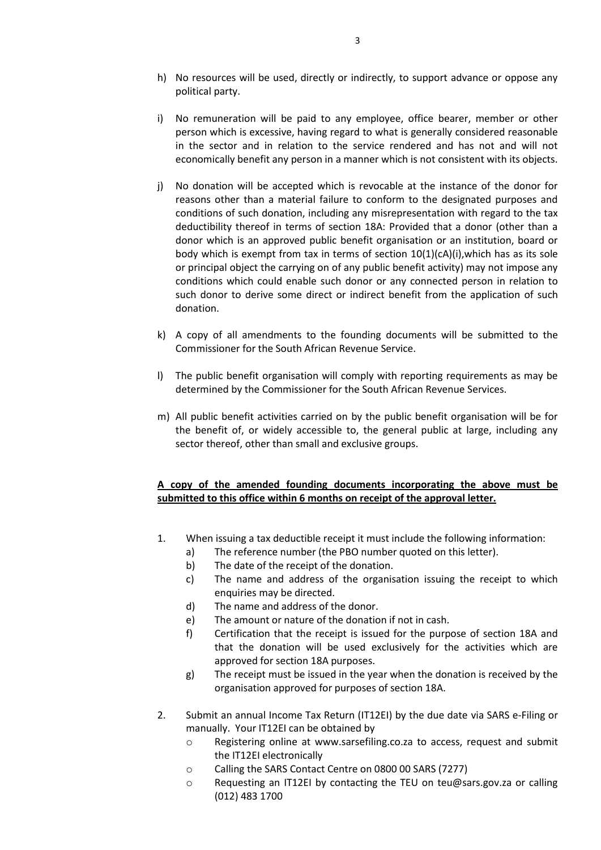- h) No resources will be used, directly or indirectly, to support advance or oppose any political party.
- i) No remuneration will be paid to any employee, office bearer, member or other person which is excessive, having regard to what is generally considered reasonable in the sector and in relation to the service rendered and has not and will not economically benefit any person in a manner which is not consistent with its objects.
- j) No donation will be accepted which is revocable at the instance of the donor for reasons other than a material failure to conform to the designated purposes and conditions of such donation, including any misrepresentation with regard to the tax deductibility thereof in terms of section 18A: Provided that a donor (other than a donor which is an approved public benefit organisation or an institution, board or body which is exempt from tax in terms of section  $10(1)(cA)(i)$ , which has as its sole or principal object the carrying on of any public benefit activity) may not impose any conditions which could enable such donor or any connected person in relation to such donor to derive some direct or indirect benefit from the application of such donation.
- k) A copy of all amendments to the founding documents will be submitted to the Commissioner for the South African Revenue Service.
- l) The public benefit organisation will comply with reporting requirements as may be determined by the Commissioner for the South African Revenue Services.
- m) All public benefit activities carried on by the public benefit organisation will be for the benefit of, or widely accessible to, the general public at large, including any sector thereof, other than small and exclusive groups.

## **A copy of the amended founding documents incorporating the above must be submitted to this office within 6 months on receipt of the approval letter.**

- 1. When issuing a tax deductible receipt it must include the following information:
	- a) The reference number (the PBO number quoted on this letter).
	- b) The date of the receipt of the donation.
	- c) The name and address of the organisation issuing the receipt to which enquiries may be directed.
	- d) The name and address of the donor.
	- e) The amount or nature of the donation if not in cash.
	- f) Certification that the receipt is issued for the purpose of section 18A and that the donation will be used exclusively for the activities which are approved for section 18A purposes.
	- g) The receipt must be issued in the year when the donation is received by the organisation approved for purposes of section 18A.
- 2. Submit an annual Income Tax Return (IT12EI) by the due date via SARS e-Filing or manually. Your IT12EI can be obtained by
	- o Registering online at www.sarsefiling.co.za to access, request and submit the IT12EI electronically
	- o Calling the SARS Contact Centre on 0800 00 SARS (7277)
	- o Requesting an IT12EI by contacting the TEU on teu@sars.gov.za or calling (012) 483 1700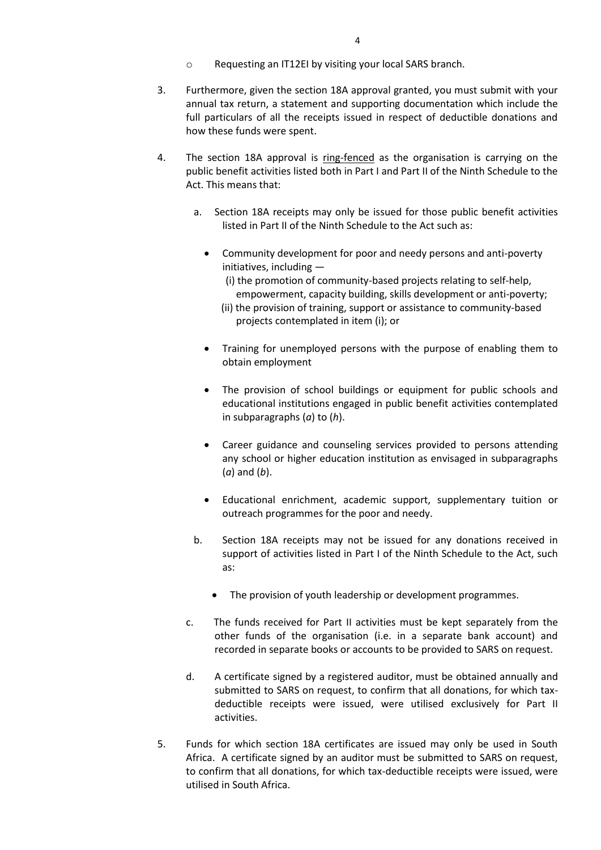- o Requesting an IT12EI by visiting your local SARS branch.
- 3. Furthermore, given the section 18A approval granted, you must submit with your annual tax return, a statement and supporting documentation which include the full particulars of all the receipts issued in respect of deductible donations and how these funds were spent.
- 4. The section 18A approval is ring-fenced as the organisation is carrying on the public benefit activities listed both in Part I and Part II of the Ninth Schedule to the Act. This means that:
	- a. Section 18A receipts may only be issued for those public benefit activities listed in Part II of the Ninth Schedule to the Act such as:
		- Community development for poor and needy persons and anti-poverty initiatives, including —
			- (i) the promotion of community-based projects relating to self-help, empowerment, capacity building, skills development or anti-poverty;
			- (ii) the provision of training, support or assistance to community-based projects contemplated in item (i); or
		- Training for unemployed persons with the purpose of enabling them to obtain employment
		- The provision of school buildings or equipment for public schools and educational institutions engaged in public benefit activities contemplated in subparagraphs (*a*) to (*h*).
		- Career guidance and counseling services provided to persons attending any school or higher education institution as envisaged in subparagraphs (*a*) and (*b*).
		- Educational enrichment, academic support, supplementary tuition or outreach programmes for the poor and needy.
	- b. Section 18A receipts may not be issued for any donations received in support of activities listed in Part I of the Ninth Schedule to the Act, such as:
		- The provision of youth leadership or development programmes.
	- c. The funds received for Part II activities must be kept separately from the other funds of the organisation (i.e. in a separate bank account) and recorded in separate books or accounts to be provided to SARS on request.
	- d. A certificate signed by a registered auditor, must be obtained annually and submitted to SARS on request, to confirm that all donations, for which taxdeductible receipts were issued, were utilised exclusively for Part II activities.
- 5. Funds for which section 18A certificates are issued may only be used in South Africa. A certificate signed by an auditor must be submitted to SARS on request, to confirm that all donations, for which tax-deductible receipts were issued, were utilised in South Africa.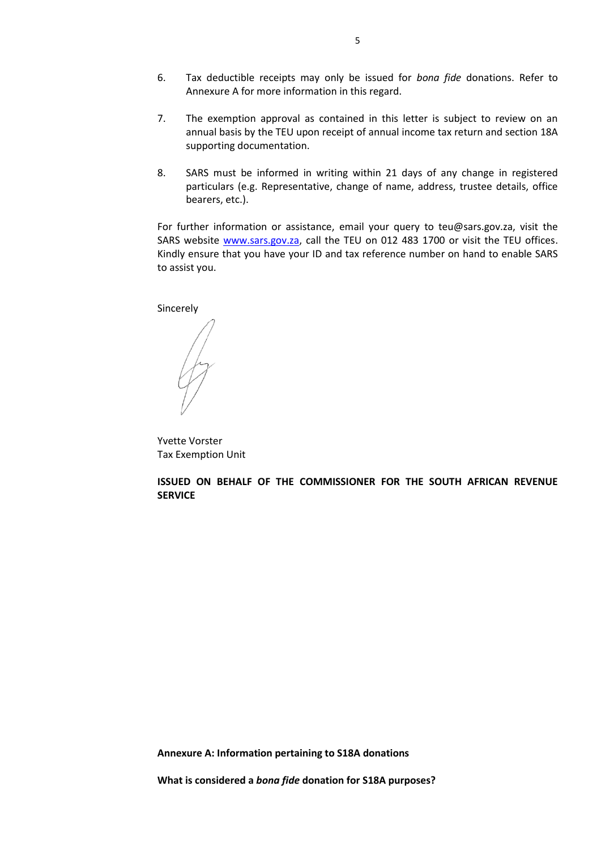- 6. Tax deductible receipts may only be issued for *bona fide* donations. Refer to Annexure A for more information in this regard.
- 7. The exemption approval as contained in this letter is subject to review on an annual basis by the TEU upon receipt of annual income tax return and section 18A supporting documentation.
- 8. SARS must be informed in writing within 21 days of any change in registered particulars (e.g. Representative, change of name, address, trustee details, office bearers, etc.).

For further information or assistance, email your query to teu@sars.gov.za, visit the SARS website [www.sars.gov.za,](http://www.sars.gov.za/) call the TEU on 012 483 1700 or visit the TEU offices. Kindly ensure that you have your ID and tax reference number on hand to enable SARS to assist you.

Sincerely

Yvette Vorster Tax Exemption Unit

**ISSUED ON BEHALF OF THE COMMISSIONER FOR THE SOUTH AFRICAN REVENUE SERVICE**

**Annexure A: Information pertaining to S18A donations**

**What is considered a** *bona fide* **donation for S18A purposes?**